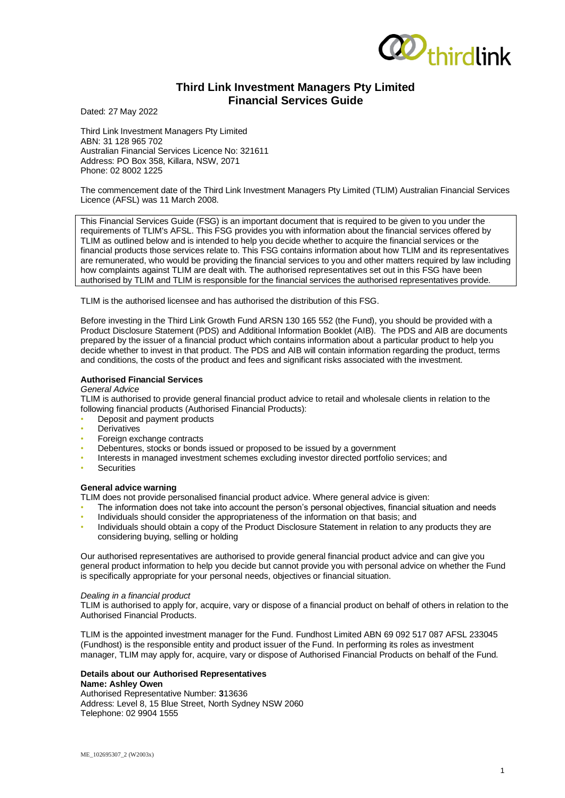

# **Third Link Investment Managers Pty Limited Financial Services Guide**

Dated: 27 May 2022

Third Link Investment Managers Pty Limited ABN: 31 128 965 702 Australian Financial Services Licence No: 321611 Address: PO Box 358, Killara, NSW, 2071 Phone: 02 8002 1225

The commencement date of the Third Link Investment Managers Pty Limited (TLIM) Australian Financial Services Licence (AFSL) was 11 March 2008.

This Financial Services Guide (FSG) is an important document that is required to be given to you under the requirements of TLIM's AFSL. This FSG provides you with information about the financial services offered by TLIM as outlined below and is intended to help you decide whether to acquire the financial services or the financial products those services relate to. This FSG contains information about how TLIM and its representatives are remunerated, who would be providing the financial services to you and other matters required by law including how complaints against TLIM are dealt with. The authorised representatives set out in this FSG have been authorised by TLIM and TLIM is responsible for the financial services the authorised representatives provide.

TLIM is the authorised licensee and has authorised the distribution of this FSG.

Before investing in the Third Link Growth Fund ARSN 130 165 552 (the Fund), you should be provided with a Product Disclosure Statement (PDS) and Additional Information Booklet (AIB). The PDS and AIB are documents prepared by the issuer of a financial product which contains information about a particular product to help you decide whether to invest in that product. The PDS and AIB will contain information regarding the product, terms and conditions, the costs of the product and fees and significant risks associated with the investment.

# **Authorised Financial Services**

## *General Advice*

TLIM is authorised to provide general financial product advice to retail and wholesale clients in relation to the following financial products (Authorised Financial Products):

- Deposit and payment products
- **Derivatives**
- Foreign exchange contracts
- Debentures, stocks or bonds issued or proposed to be issued by a government
- Interests in managed investment schemes excluding investor directed portfolio services; and
- **Securities**

# **General advice warning**

TLIM does not provide personalised financial product advice. Where general advice is given:

- The information does not take into account the person's personal objectives, financial situation and needs
- Individuals should consider the appropriateness of the information on that basis; and
- Individuals should obtain a copy of the Product Disclosure Statement in relation to any products they are considering buying, selling or holding

Our authorised representatives are authorised to provide general financial product advice and can give you general product information to help you decide but cannot provide you with personal advice on whether the Fund is specifically appropriate for your personal needs, objectives or financial situation.

# *Dealing in a financial product*

TLIM is authorised to apply for, acquire, vary or dispose of a financial product on behalf of others in relation to the Authorised Financial Products.

TLIM is the appointed investment manager for the Fund. Fundhost Limited ABN 69 092 517 087 AFSL 233045 (Fundhost) is the responsible entity and product issuer of the Fund. In performing its roles as investment manager, TLIM may apply for, acquire, vary or dispose of Authorised Financial Products on behalf of the Fund.

#### **Details about our Authorised Representatives Name: Ashley Owen**

Authorised Representative Number: **3**13636 Address: Level 8, 15 Blue Street, North Sydney NSW 2060 Telephone: 02 9904 1555